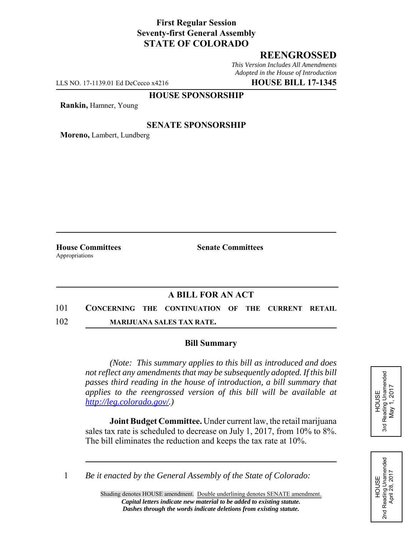## **First Regular Session Seventy-first General Assembly STATE OF COLORADO**

# **REENGROSSED**

*This Version Includes All Amendments Adopted in the House of Introduction*

LLS NO. 17-1139.01 Ed DeCecco x4216 **HOUSE BILL 17-1345**

#### **HOUSE SPONSORSHIP**

**Rankin,** Hamner, Young

#### **SENATE SPONSORSHIP**

**Moreno,** Lambert, Lundberg

Appropriations

**House Committees Senate Committees** 

## **A BILL FOR AN ACT**

101 **CONCERNING THE CONTINUATION OF THE CURRENT RETAIL**

102 **MARIJUANA SALES TAX RATE.**

### **Bill Summary**

*(Note: This summary applies to this bill as introduced and does not reflect any amendments that may be subsequently adopted. If this bill passes third reading in the house of introduction, a bill summary that applies to the reengrossed version of this bill will be available at http://leg.colorado.gov/.)*

**Joint Budget Committee.** Under current law, the retail marijuana sales tax rate is scheduled to decrease on July 1, 2017, from 10% to 8%. The bill eliminates the reduction and keeps the tax rate at 10%.

HOUSE<br>Reading Unamended<br>May 1, 2017 3rd Reading Unamended May 1, 2017 3rd

HOUSE<br>d Reading Unamended<br>April 28, 2017 2nd Reading Unamended April 28, 2017 2<sub>nd</sub>

1 *Be it enacted by the General Assembly of the State of Colorado:*